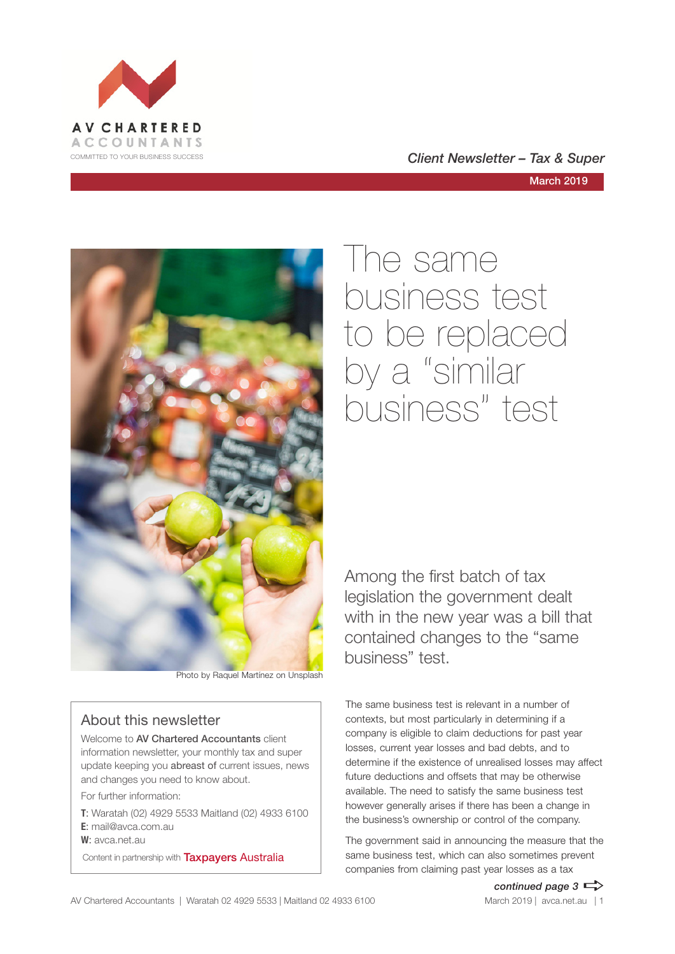





Photo by Raquel Martínez on Unsplash

#### About this newsletter

Welcome to **AV Chartered Accountants** client information newsletter, your monthly tax and super update keeping you abreast of current issues, news and changes you need to know about.

For further information:

**T**: Waratah (02) 4929 5533 Maitland (02) 4933 6100 **E**: mail@avca.com.au

**W**: avca.net.au

Content in partnership with **Taxpayers Australia** 

The same business test to be replaced by a "similar business" test

Among the first batch of tax legislation the government dealt with in the new year was a bill that contained changes to the "same business" test.

The same business test is relevant in a number of contexts, but most particularly in determining if a company is eligible to claim deductions for past year losses, current year losses and bad debts, and to determine if the existence of unrealised losses may affect future deductions and offsets that may be otherwise available. The need to satisfy the same business test however generally arises if there has been a change in the business's ownership or control of the company.

The government said in announcing the measure that the same business test, which can also sometimes prevent companies from claiming past year losses as a tax

*continued page 3*  $\Rightarrow$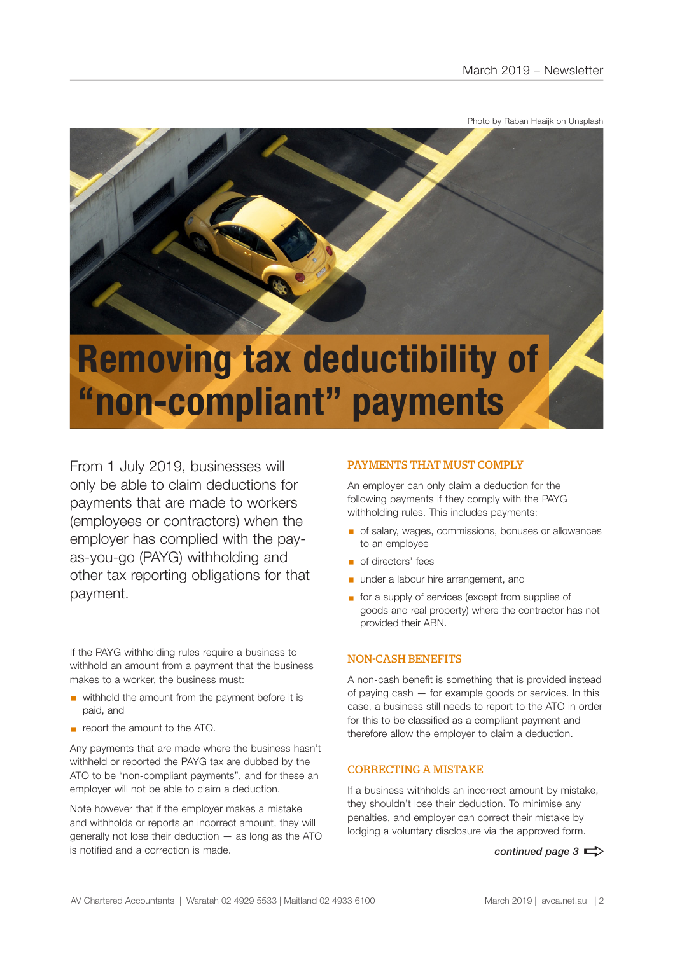Photo by Raban Haaijk on Unsplash



# **"non-compliant" payments**

From 1 July 2019, businesses will only be able to claim deductions for payments that are made to workers (employees or contractors) when the employer has complied with the payas-you-go (PAYG) withholding and other tax reporting obligations for that payment.

If the PAYG withholding rules require a business to withhold an amount from a payment that the business makes to a worker, the business must:

- withhold the amount from the payment before it is paid, and
- **•** report the amount to the ATO.

Any payments that are made where the business hasn't withheld or reported the PAYG tax are dubbed by the ATO to be "non-compliant payments", and for these an employer will not be able to claim a deduction.

Note however that if the employer makes a mistake and withholds or reports an incorrect amount, they will generally not lose their deduction — as long as the ATO is notified and a correction is made.

#### PAYMENTS THAT MUST COMPLY

An employer can only claim a deduction for the following payments if they comply with the PAYG withholding rules. This includes payments:

- of salary, wages, commissions, bonuses or allowances to an employee
- of directors' fees
- **■** under a labour hire arrangement, and
- for a supply of services (except from supplies of goods and real property) where the contractor has not provided their ABN.

#### NON-CASH BENEFITS

A non-cash benefit is something that is provided instead of paying cash — for example goods or services. In this case, a business still needs to report to the ATO in order for this to be classified as a compliant payment and therefore allow the employer to claim a deduction.

#### CORRECTING A MISTAKE

If a business withholds an incorrect amount by mistake, they shouldn't lose their deduction. To minimise any penalties, and employer can correct their mistake by lodging a voluntary disclosure via the approved form.

*continued page 3*  $\Rightarrow$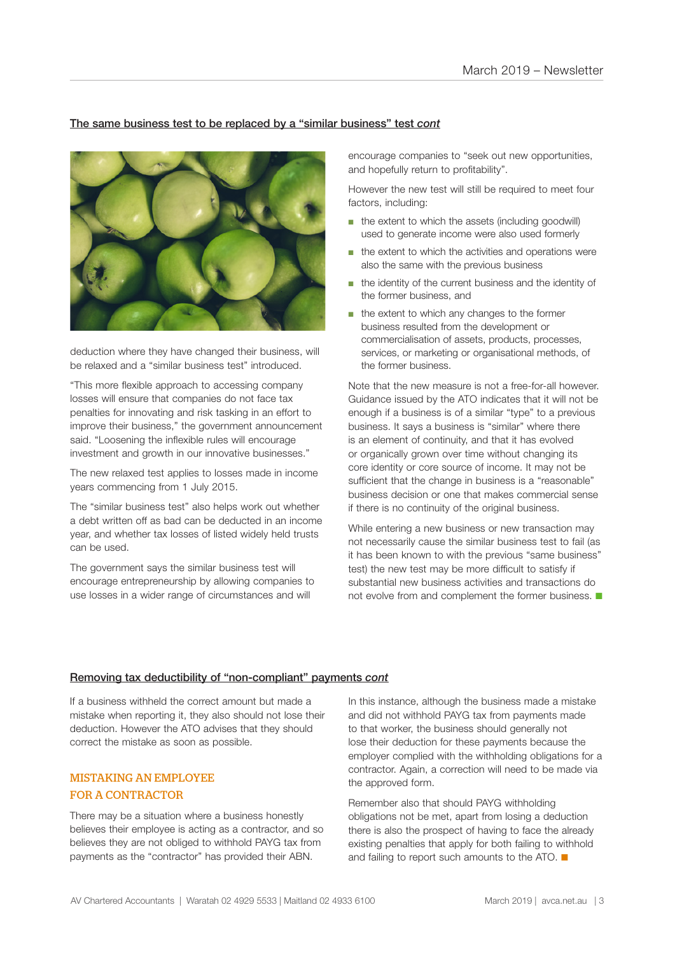#### The same business test to be replaced by a "similar business" test *cont*



deduction where they have changed their business, will be relaxed and a "similar business test" introduced.

"This more flexible approach to accessing company losses will ensure that companies do not face tax penalties for innovating and risk tasking in an effort to improve their business," the government announcement said. "Loosening the inflexible rules will encourage investment and growth in our innovative businesses."

The new relaxed test applies to losses made in income years commencing from 1 July 2015.

The "similar business test" also helps work out whether a debt written off as bad can be deducted in an income year, and whether tax losses of listed widely held trusts can be used.

The government says the similar business test will encourage entrepreneurship by allowing companies to use losses in a wider range of circumstances and will

encourage companies to "seek out new opportunities, and hopefully return to profitability".

However the new test will still be required to meet four factors, including:

- the extent to which the assets (including goodwill) used to generate income were also used formerly
- the extent to which the activities and operations were also the same with the previous business
- the identity of the current business and the identity of the former business, and
- the extent to which any changes to the former business resulted from the development or commercialisation of assets, products, processes, services, or marketing or organisational methods, of the former business.

Note that the new measure is not a free-for-all however. Guidance issued by the ATO indicates that it will not be enough if a business is of a similar "type" to a previous business. It says a business is "similar" where there is an element of continuity, and that it has evolved or organically grown over time without changing its core identity or core source of income. It may not be sufficient that the change in business is a "reasonable" business decision or one that makes commercial sense if there is no continuity of the original business.

While entering a new business or new transaction may not necessarily cause the similar business test to fail (as it has been known to with the previous "same business" test) the new test may be more difficult to satisfy if substantial new business activities and transactions do not evolve from and complement the former business.  $\blacksquare$ 

#### Removing tax deductibility of "non-compliant" payments *cont*

If a business withheld the correct amount but made a mistake when reporting it, they also should not lose their deduction. However the ATO advises that they should correct the mistake as soon as possible.

#### MISTAKING AN EMPLOYEE FOR A CONTRACTOR

There may be a situation where a business honestly believes their employee is acting as a contractor, and so believes they are not obliged to withhold PAYG tax from payments as the "contractor" has provided their ABN.

In this instance, although the business made a mistake and did not withhold PAYG tax from payments made to that worker, the business should generally not lose their deduction for these payments because the employer complied with the withholding obligations for a contractor. Again, a correction will need to be made via the approved form.

Remember also that should PAYG withholding obligations not be met, apart from losing a deduction there is also the prospect of having to face the already existing penalties that apply for both failing to withhold and failing to report such amounts to the ATO.  $\blacksquare$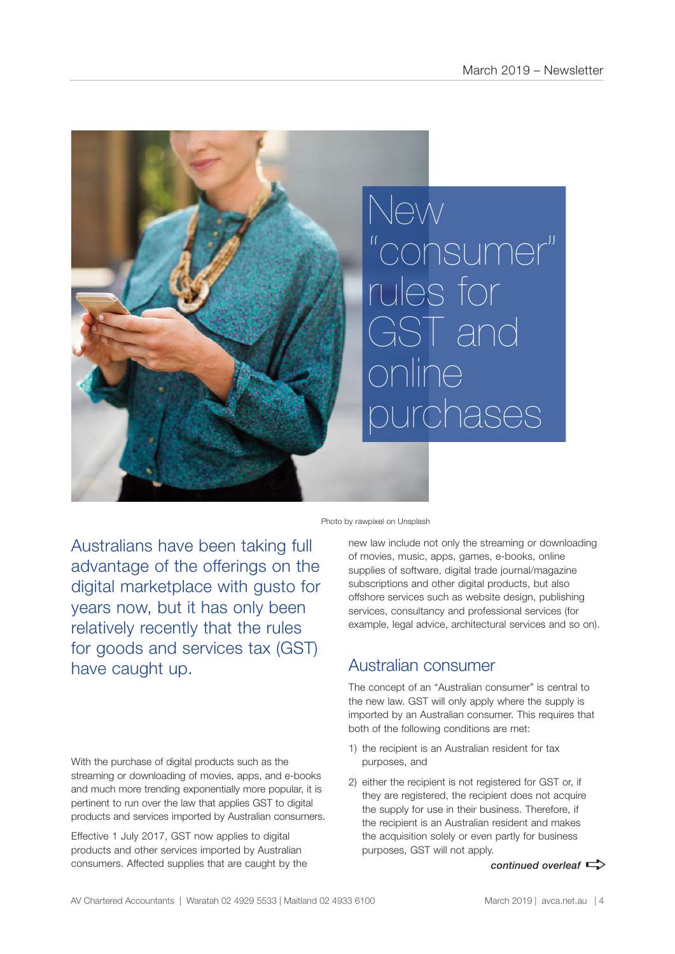

Photo by rawpixel on Unsplash

Australians have been taking full advantage of the offerings on the digital marketplace with gusto for years now, but it has only been relatively recently that the rules for goods and services tax (GST) have caught up.

With the purchase of digital products such as the streaming or downloading of movies, apps, and e-books and much more trending exponentially more popular, it is pertinent to run over the law that applies GST to digital products and services imported by Australian consumers.

Effective 1 July 2017, GST now applies to digital products and other services imported by Australian consumers. Affected supplies that are caught by the new law include not only the streaming or downloading of movies, music, apps, games, e-books, online supplies of software, digital trade journal/magazine subscriptions and other digital products, but also offshore services such as website design, publishing services, consultancy and professional services (for example, legal advice, architectural services and so on).

## Australian consumer

The concept of an "Australian consumer" is central to the new law. GST will only apply where the supply is imported by an Australian consumer. This requires that both of the following conditions are met:

- 1) the recipient is an Australian resident for tax purposes, and
- 2) either the recipient is not registered for GST or, if they are registered, the recipient does not acquire the supply for use in their business. Therefore, if the recipient is an Australian resident and makes the acquisition solely or even partly for business purposes, GST will not apply.

*continued overleaf*  $\Rightarrow$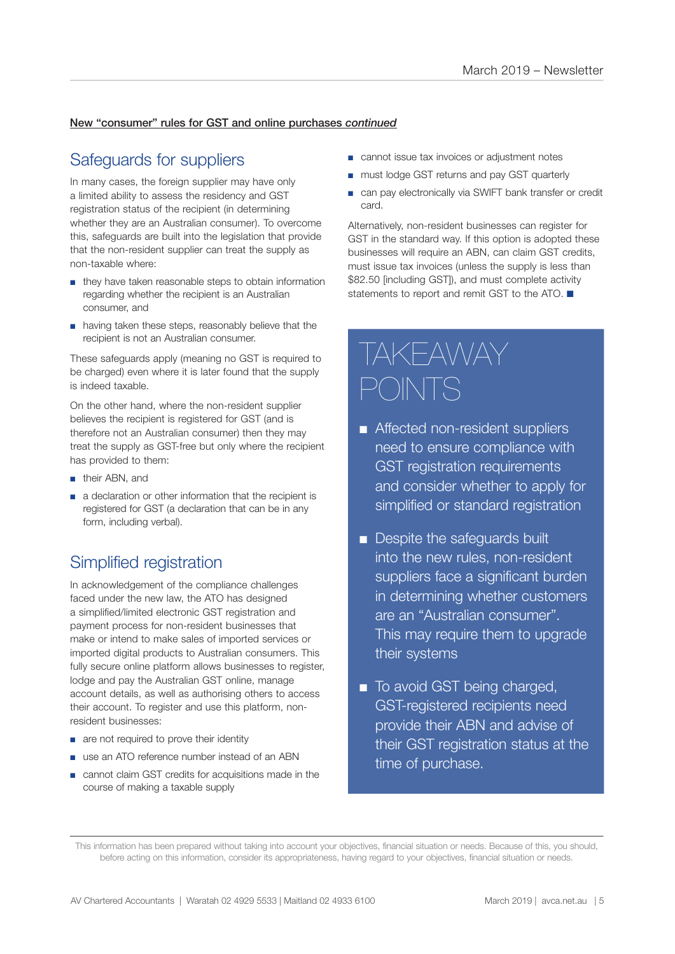#### New "consumer" rules for GST and online purchases *continued*

### Safeguards for suppliers

In many cases, the foreign supplier may have only a limited ability to assess the residency and GST registration status of the recipient (in determining whether they are an Australian consumer). To overcome this, safeguards are built into the legislation that provide that the non-resident supplier can treat the supply as non-taxable where:

- they have taken reasonable steps to obtain information regarding whether the recipient is an Australian consumer, and
- having taken these steps, reasonably believe that the recipient is not an Australian consumer.

These safeguards apply (meaning no GST is required to be charged) even where it is later found that the supply is indeed taxable.

On the other hand, where the non-resident supplier believes the recipient is registered for GST (and is therefore not an Australian consumer) then they may treat the supply as GST-free but only where the recipient has provided to them:

- their ABN, and
- a declaration or other information that the recipient is registered for GST (a declaration that can be in any form, including verbal).

## Simplified registration

In acknowledgement of the compliance challenges faced under the new law, the ATO has designed a simplified/limited electronic GST registration and payment process for non-resident businesses that make or intend to make sales of imported services or imported digital products to Australian consumers. This fully secure online platform allows businesses to register, lodge and pay the Australian GST online, manage account details, as well as authorising others to access their account. To register and use this platform, nonresident businesses:

- are not required to prove their identity
- use an ATO reference number instead of an ABN
- cannot claim GST credits for acquisitions made in the course of making a taxable supply
- cannot issue tax invoices or adjustment notes
- must lodge GST returns and pay GST quarterly
- can pay electronically via SWIFT bank transfer or credit card.

Alternatively, non-resident businesses can register for GST in the standard way. If this option is adopted these businesses will require an ABN, can claim GST credits, must issue tax invoices (unless the supply is less than \$82.50 [including GST]), and must complete activity statements to report and remit GST to the ATO.  $\blacksquare$ 

# TAKEAWAY POINTS

- Affected non-resident suppliers need to ensure compliance with GST registration requirements and consider whether to apply for simplified or standard registration
- **n** Despite the safeguards built into the new rules, non-resident suppliers face a significant burden in determining whether customers are an "Australian consumer". This may require them to upgrade their systems
- To avoid GST being charged, GST-registered recipients need provide their ABN and advise of their GST registration status at the time of purchase.

This information has been prepared without taking into account your objectives, financial situation or needs. Because of this, you should, before acting on this information, consider its appropriateness, having regard to your objectives, financial situation or needs.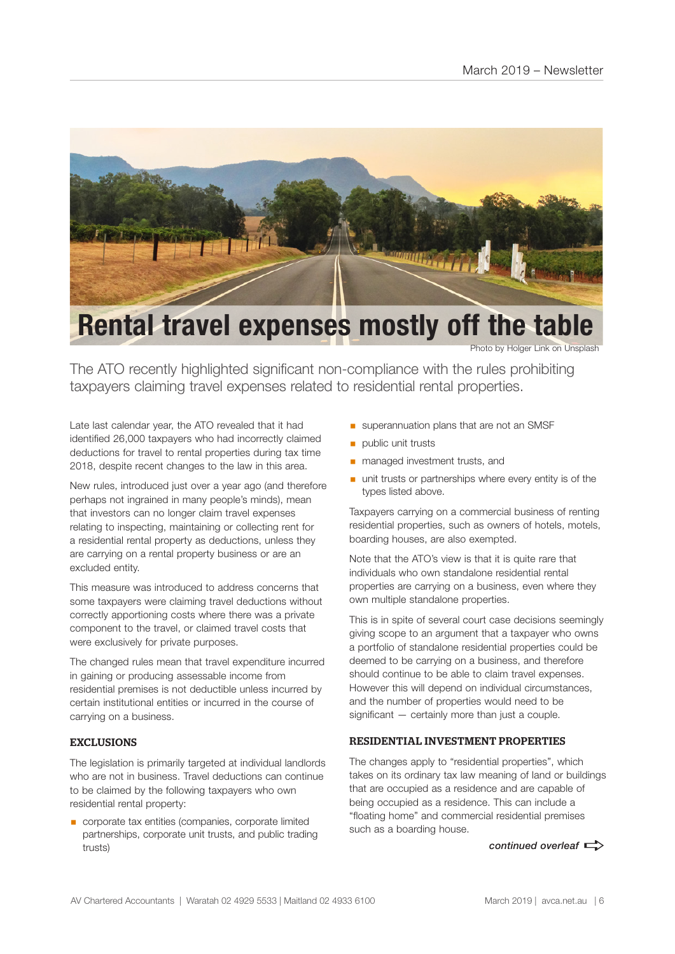

## **Rental travel expenses mostly off the table**

Photo by Holger Link on Unsplash

The ATO recently highlighted significant non-compliance with the rules prohibiting taxpayers claiming travel expenses related to residential rental properties.

Late last calendar year, the ATO revealed that it had identified 26,000 taxpayers who had incorrectly claimed deductions for travel to rental properties during tax time 2018, despite recent changes to the law in this area.

New rules, introduced just over a year ago (and therefore perhaps not ingrained in many people's minds), mean that investors can no longer claim travel expenses relating to inspecting, maintaining or collecting rent for a residential rental property as deductions, unless they are carrying on a rental property business or are an excluded entity.

This measure was introduced to address concerns that some taxpayers were claiming travel deductions without correctly apportioning costs where there was a private component to the travel, or claimed travel costs that were exclusively for private purposes.

The changed rules mean that travel expenditure incurred in gaining or producing assessable income from residential premises is not deductible unless incurred by certain institutional entities or incurred in the course of carrying on a business.

#### EXCLUSIONS

The legislation is primarily targeted at individual landlords who are not in business. Travel deductions can continue to be claimed by the following taxpayers who own residential rental property:

■ corporate tax entities (companies, corporate limited partnerships, corporate unit trusts, and public trading trusts)

- **■** superannuation plans that are not an SMSF
- public unit trusts
- managed investment trusts, and
- unit trusts or partnerships where every entity is of the types listed above.

Taxpayers carrying on a commercial business of renting residential properties, such as owners of hotels, motels, boarding houses, are also exempted.

Note that the ATO's view is that it is quite rare that individuals who own standalone residential rental properties are carrying on a business, even where they own multiple standalone properties.

This is in spite of several court case decisions seemingly giving scope to an argument that a taxpayer who owns a portfolio of standalone residential properties could be deemed to be carrying on a business, and therefore should continue to be able to claim travel expenses. However this will depend on individual circumstances, and the number of properties would need to be significant — certainly more than just a couple.

#### RESIDENTIAL INVESTMENT PROPERTIES

The changes apply to "residential properties", which takes on its ordinary tax law meaning of land or buildings that are occupied as a residence and are capable of being occupied as a residence. This can include a "floating home" and commercial residential premises such as a boarding house.

*continued overleaf*  $\Rightarrow$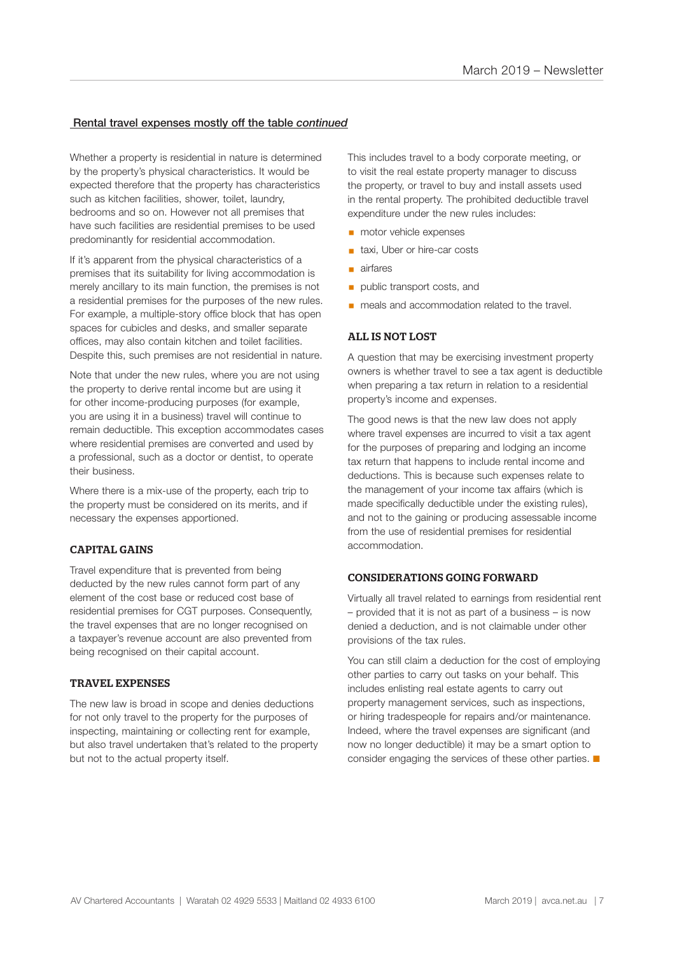#### Rental travel expenses mostly off the table *continued*

Whether a property is residential in nature is determined by the property's physical characteristics. It would be expected therefore that the property has characteristics such as kitchen facilities, shower, toilet, laundry, bedrooms and so on. However not all premises that have such facilities are residential premises to be used predominantly for residential accommodation.

If it's apparent from the physical characteristics of a premises that its suitability for living accommodation is merely ancillary to its main function, the premises is not a residential premises for the purposes of the new rules. For example, a multiple-story office block that has open spaces for cubicles and desks, and smaller separate offices, may also contain kitchen and toilet facilities. Despite this, such premises are not residential in nature.

Note that under the new rules, where you are not using the property to derive rental income but are using it for other income-producing purposes (for example, you are using it in a business) travel will continue to remain deductible. This exception accommodates cases where residential premises are converted and used by a professional, such as a doctor or dentist, to operate their business.

Where there is a mix-use of the property, each trip to the property must be considered on its merits, and if necessary the expenses apportioned.

#### CAPITAL GAINS

Travel expenditure that is prevented from being deducted by the new rules cannot form part of any element of the cost base or reduced cost base of residential premises for CGT purposes. Consequently, the travel expenses that are no longer recognised on a taxpayer's revenue account are also prevented from being recognised on their capital account.

#### TRAVEL EXPENSES

The new law is broad in scope and denies deductions for not only travel to the property for the purposes of inspecting, maintaining or collecting rent for example, but also travel undertaken that's related to the property but not to the actual property itself.

This includes travel to a body corporate meeting, or to visit the real estate property manager to discuss the property, or travel to buy and install assets used in the rental property. The prohibited deductible travel expenditure under the new rules includes:

- motor vehicle expenses
- taxi, Uber or hire-car costs
- airfares
- **public transport costs, and**
- meals and accommodation related to the travel.

#### ALL IS NOT LOST

A question that may be exercising investment property owners is whether travel to see a tax agent is deductible when preparing a tax return in relation to a residential property's income and expenses.

The good news is that the new law does not apply where travel expenses are incurred to visit a tax agent for the purposes of preparing and lodging an income tax return that happens to include rental income and deductions. This is because such expenses relate to the management of your income tax affairs (which is made specifically deductible under the existing rules), and not to the gaining or producing assessable income from the use of residential premises for residential accommodation.

#### CONSIDERATIONS GOING FORWARD

Virtually all travel related to earnings from residential rent – provided that it is not as part of a business – is now denied a deduction, and is not claimable under other provisions of the tax rules.

You can still claim a deduction for the cost of employing other parties to carry out tasks on your behalf. This includes enlisting real estate agents to carry out property management services, such as inspections, or hiring tradespeople for repairs and/or maintenance. Indeed, where the travel expenses are significant (and now no longer deductible) it may be a smart option to consider engaging the services of these other parties.  $\blacksquare$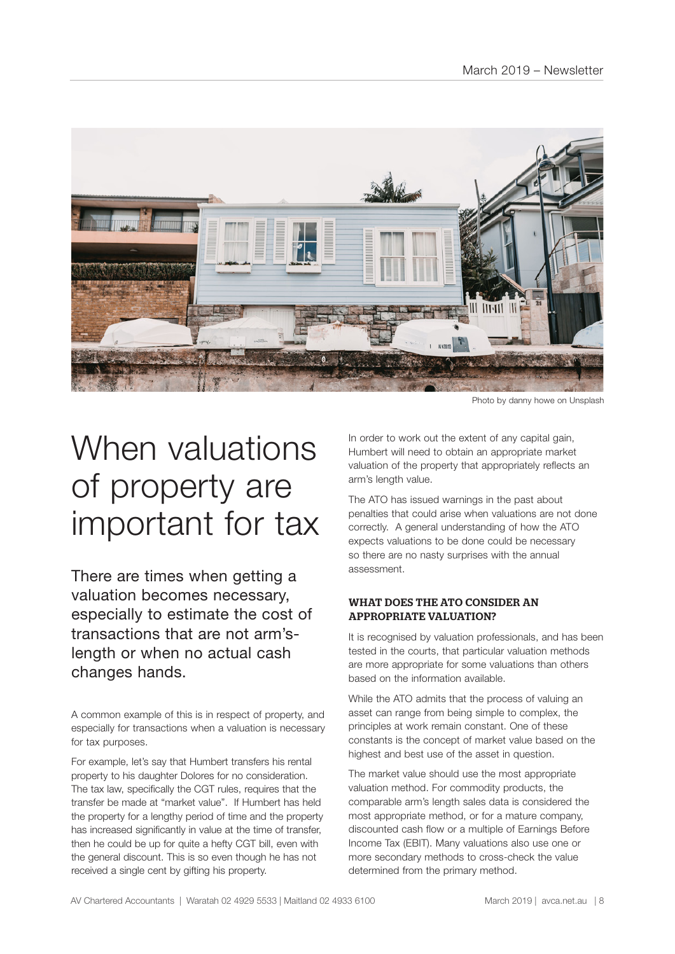

Photo by danny howe on Unsplash

# When valuations of property are important for tax

There are times when getting a valuation becomes necessary, especially to estimate the cost of transactions that are not arm'slength or when no actual cash changes hands.

A common example of this is in respect of property, and especially for transactions when a valuation is necessary for tax purposes.

For example, let's say that Humbert transfers his rental property to his daughter Dolores for no consideration. The tax law, specifically the CGT rules, requires that the transfer be made at "market value". If Humbert has held the property for a lengthy period of time and the property has increased significantly in value at the time of transfer. then he could be up for quite a hefty CGT bill, even with the general discount. This is so even though he has not received a single cent by gifting his property.

In order to work out the extent of any capital gain, Humbert will need to obtain an appropriate market valuation of the property that appropriately reflects an arm's length value.

The ATO has issued warnings in the past about penalties that could arise when valuations are not done correctly. A general understanding of how the ATO expects valuations to be done could be necessary so there are no nasty surprises with the annual assessment.

#### WHAT DOES THE ATO CONSIDER AN APPROPRIATE VALUATION?

It is recognised by valuation professionals, and has been tested in the courts, that particular valuation methods are more appropriate for some valuations than others based on the information available.

While the ATO admits that the process of valuing an asset can range from being simple to complex, the principles at work remain constant. One of these constants is the concept of market value based on the highest and best use of the asset in question.

The market value should use the most appropriate valuation method. For commodity products, the comparable arm's length sales data is considered the most appropriate method, or for a mature company, discounted cash flow or a multiple of Earnings Before Income Tax (EBIT). Many valuations also use one or more secondary methods to cross-check the value determined from the primary method.